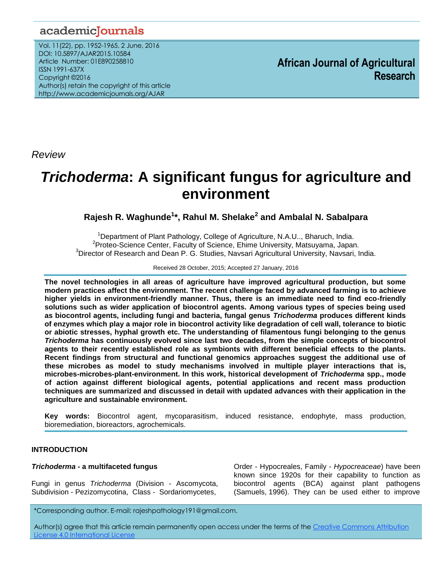# academicJournals

Vol. 11(22), pp. 1952-1965, 2 June, 2016 DOI: 10.5897/AJAR2015.10584 Article Number: 01E890258810 ISSN 1991-637X Copyright ©2016 Author(s) retain the copyright of this article http://www.academicjournals.org/AJAR

**African Journal of Agricultural Research**

*Review*

# *Trichoderma***: A significant fungus for agriculture and environment**

# **Rajesh R. Waghunde<sup>1</sup> \*, Rahul M. Shelake<sup>2</sup> and Ambalal N. Sabalpara**

<sup>1</sup>Department of Plant Pathology, College of Agriculture, N.A.U.., Bharuch, India. <sup>2</sup> Proteo-Science Center, Faculty of Science, Ehime University, Matsuyama, Japan.  ${}^{3}$ Director of Research and Dean P. G. Studies, Navsari Agricultural University, Navsari, India.

#### Received 28 October, 2015; Accepted 27 January, 2016

**The novel technologies in all areas of agriculture have improved agricultural production, but some modern practices affect the environment. The recent challenge faced by advanced farming is to achieve higher yields in environment-friendly manner. Thus, there is an immediate need to find eco-friendly solutions such as wider application of biocontrol agents. Among various types of species being used as biocontrol agents, including fungi and bacteria, fungal genus** *Trichoderma* **produces different kinds of enzymes which play a major role in biocontrol activity like degradation of cell wall, tolerance to biotic or abiotic stresses, hyphal growth etc. The understanding of filamentous fungi belonging to the genus**  *Trichoderma* **has continuously evolved since last two decades, from the simple concepts of biocontrol agents to their recently established role as symbionts with different beneficial effects to the plants. Recent findings from structural and functional genomics approaches suggest the additional use of these microbes as model to study mechanisms involved in multiple player interactions that is, microbes-microbes-plant-environment. In this work, historical development of** *Trichoderma* **spp., mode of action against different biological agents, potential applications and recent mass production techniques are summarized and discussed in detail with updated advances with their application in the agriculture and sustainable environment.**

**Key words:** Biocontrol agent, mycoparasitism, induced resistance, endophyte, mass production, bioremediation, bioreactors, agrochemicals.

### **INTRODUCTION**

#### *Trichoderma* **- a multifaceted fungus**

Fungi in genus *Trichoderma* (Division - Ascomycota, Subdivision - Pezizomycotina, Class - Sordariomycetes,

Order - Hypocreales, Family - *Hypocreaceae*) have been known since 1920s for their capability to function as biocontrol agents (BCA) against plant pathogens (Samuels, 1996). They can be used either to improve

Author(s) agree that this article remain permanently open access under the terms of the Creative Commons Attribution [License 4.0 International License](http://creativecommons.org/licenses/by/4.0/deed.en_US)

<sup>\*</sup>Corresponding author. E-mail: rajeshpathology191@gmail.com.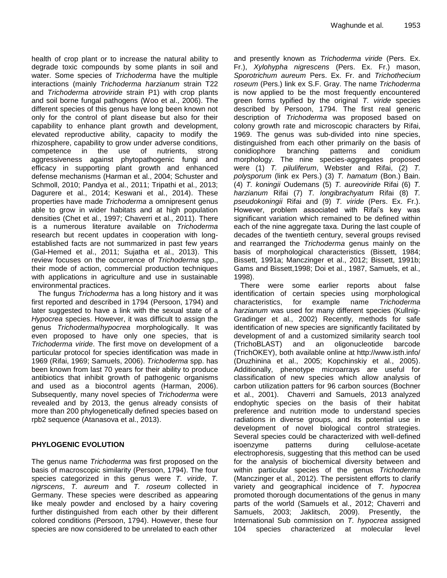health of crop plant or to increase the natural ability to degrade toxic compounds by some plants in soil and water. Some species of *Trichoderma* have the multiple interactions (mainly *Trichoderma harzianum* strain T22 and *Trichoderma atroviride* strain P1) with crop plants and soil borne fungal pathogens (Woo et al., 2006). The different species of this genus have long been known not only for the control of plant disease but also for their capability to enhance plant growth and development, elevated reproductive ability, capacity to modify the rhizosphere, capability to grow under adverse conditions, competence in the use of nutrients, strong aggressiveness against phytopathogenic fungi and efficacy in supporting plant growth and enhanced defense mechanisms (Harman et al., 2004; Schuster and Schmoll, 2010; Pandya et al., 2011; Tripathi et al., 2013; Dagurere et al., 2014; Keswani et al., 2014). These properties have made *Trichoderma* a omnipresent genus able to grow in wider habitats and at high population densities (Chet et al., 1997; Chaverri et al., 2011). There is a numerous literature available on *Trichoderma* research but recent updates in cooperation with longestablished facts are not summarized in past few years (Gal-Hemed et al., 2011; Sujatha et al., 2013). This review focuses on the occurrence of *Trichoderma* spp., their mode of action, commercial production techniques with applications in agriculture and use in sustainable environmental practices.

The fungus *Trichoderma* has a long history and it was first reported and described in 1794 (Persoon, 1794) and later suggested to have a link with the sexual state of a *Hypocrea* species. However, it was difficult to assign the genus *Trichoderma*/*hypocrea* morphologically. It was even proposed to have only one species, that is *Trichoderma viride*. The first move on development of a particular protocol for species identification was made in 1969 (Rifai, 1969; Samuels, 2006). *Trichoderma* spp. has been known from last 70 years for their ability to produce antibiotics that inhibit growth of pathogenic organisms and used as a biocontrol agents (Harman, 2006). Subsequently, many novel species of *Trichoderma* were revealed and by 2013, the genus already consists of more than 200 phylogenetically defined species based on rpb2 sequence (Atanasova et al., 2013).

#### **PHYLOGENIC EVOLUTION**

The genus name *Trichoderma* was first proposed on the basis of macroscopic similarity (Persoon, 1794). The four species categorized in this genus were *T. viride*, *T. nigrscens*, *T. aureum* and *T. roseum* collected in Germany. These species were described as appearing like mealy powder and enclosed by a hairy covering further distinguished from each other by their different colored conditions (Persoon, 1794). However, these four species are now considered to be unrelated to each other

and presently known as *Trichoderma viride* (Pers. Ex. Fr.), *Xylohypha nigrescens* (Pers. Ex. Fr.) mason, *Sporotrichum aureum* Pers. Ex. Fr. and *Trichothecium roseum* (Pers.) link ex S.F. Gray. The name *Trichoderma* is now applied to be the most frequently encountered green forms typified by the original *T. viride* species described by Persoon, 1794. The first real generic description of *Trichoderma* was proposed based on colony growth rate and microscopic characters by Rifai, 1969. The genus was sub-divided into nine species, distinguished from each other primarily on the basis of conidiophore branching patterns and conidium morphology. The nine species-aggregates proposed were (1) *T. piluliferum*, Webster and Rifai, (2) *T. polysporum* (link ex Pers.) (3) *T. hamatum* (Bon.) Bain. (4) *T. koningii* Oudemans (5) *T. aureoviride* Rifai (6) *T. harzianum* Rifai (7) *T. longibrachyatum* Rifai (8) *T. pseudokoningii* Rifai and (9) *T. viride* (Pers. Ex. Fr.). However, problem associated with Rifai's key was significant variation which remained to be defined within each of the nine aggregate taxa. During the last couple of decades of the twentieth century, several groups revised and rearranged the *Trichoderma* genus mainly on the basis of morphological characteristics (Bissett, 1984; Bissett, 1991a; Manczinger et al., 2012; Bissett, 1991b; Gams and Bissett,1998; Doi et al., 1987, Samuels, et al., 1998).

There were some earlier reports about false identification of certain species using morphological characteristics, for example name *Trichoderma harzianum* was used for many different species (Kullnig-Gradinger et al., 2002) Recently, methods for safe identification of new species are significantly facilitated by development of and a customized similarity search tool (TrichoBLAST) and an oligonucleotide barcode (TrichOKEY), both available online at http://www.isth.info/ (Druzhinina et al., 2005; Kopchinskiy et al., 2005). Additionally, phenotype microarrays are useful for classification of new species which allow analysis of carbon utilization patters for 96 carbon sources (Bochner et al., 2001). Chaverri and Samuels, 2013 analyzed endophytic species on the basis of their habitat preference and nutrition mode to understand species radiations in diverse groups, and its potential use in development of novel biological control strategies. Several species could be characterized with well-defined isoenzyme patterns during cellulose-acetate electrophoresis, suggesting that this method can be used for the analysis of biochemical diversity between and within particular species of the genus *Trichoderma* (Manczinger et al., 2012). The persistent efforts to clarify variety and geographical incidence of *T. hypocrea*  promoted thorough documentations of the genus in many parts of the world (Samuels et al., 2012; Chaverri and Samuels, 2003; Jaklitsch, 2009). Presently, the International Sub commission on *T. hypocrea* assigned 104 species characterized at molecular level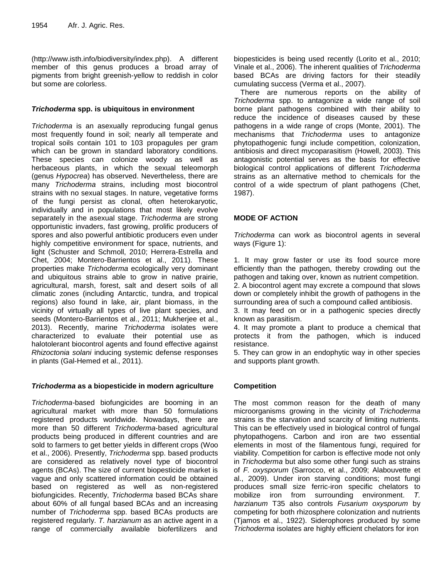(http://www.isth.info/biodiversity/index.php). A different member of this genus produces a broad array of pigments from bright greenish-yellow to reddish in color but some are colorless.

### *Trichoderma* **spp. is ubiquitous in environment**

*Trichoderma* is an asexually reproducing fungal genus most frequently found in soil; nearly all temperate and tropical soils contain 101 to 103 propagules per gram which can be grown in standard laboratory conditions. These species can colonize woody as well as herbaceous plants, in which the sexual teleomorph (genus *Hypocrea*) has observed. Nevertheless, there are many *Trichoderma* strains, including most biocontrol strains with no sexual stages. In nature, vegetative forms of the fungi persist as clonal, often heterokaryotic, individually and in populations that most likely evolve separately in the asexual stage. *Trichoderma* are strong opportunistic invaders, fast growing, prolific producers of spores and also powerful antibiotic producers even under highly competitive environment for space, nutrients, and light (Schuster and Schmoll, 2010; Herrera-Estrella and Chet, 2004; Montero-Barrientos et al., 2011). These properties make *Trichoderma* ecologically very dominant and ubiquitous strains able to grow in native prairie, agricultural, marsh, forest, salt and desert soils of all climatic zones (including Antarctic, tundra, and tropical regions) also found in lake, air, plant biomass, in the vicinity of virtually all types of live plant species, and seeds (Montero-Barrientos et al., 2011; Mukherjee et al., 2013). Recently, marine *Trichoderma* isolates were characterized to evaluate their potential use as halotolerant biocontrol agents and found effective against *Rhizoctonia solani* inducing systemic defense responses in plants (Gal-Hemed et al., 2011).

# *Trichoderma* **as a biopesticide in modern agriculture**

*Trichoderma-*based biofungicides are booming in an agricultural market with more than 50 formulations registered products worldwide. Nowadays, there are more than 50 different *Trichoderma*-based agricultural products being produced in different countries and are sold to farmers to get better yields in different crops (Woo et al., 2006). Presently, *Trichoderma* spp. based products are considered as relatively novel type of biocontrol agents (BCAs). The size of current biopesticide market is vague and only scattered information could be obtained based on registered as well as non-registered biofungicides. Recently, *Trichoderma* based BCAs share about 60% of all fungal based BCAs and an increasing number of *Trichoderma* spp. based BCAs products are registered regularly. *T. harzianum* as an active agent in a range of commercially available biofertilizers and

biopesticides is being used recently (Lorito et al., 2010; Vinale et al., 2006). The inherent qualities of *Trichoderma*  based BCAs are driving factors for their steadily cumulating success (Verma et al., 2007).

There are numerous reports on the ability of *Trichoderma* spp. to antagonize a wide range of soil borne plant pathogens combined with their ability to reduce the incidence of diseases caused by these pathogens in a wide range of crops (Monte, 2001). The mechanisms that *Trichoderma* uses to antagonize phytopathogenic fungi include competition, colonization, antibiosis and direct mycoparasitism (Howell, 2003). This antagonistic potential serves as the basis for effective biological control applications of different *Trichoderma* strains as an alternative method to chemicals for the control of a wide spectrum of plant pathogens (Chet, 1987).

### **MODE OF ACTION**

*Trichoderma* can work as biocontrol agents in several ways (Figure 1):

1. It may grow faster or use its food source more efficiently than the pathogen, thereby crowding out the pathogen and taking over, known as nutrient competition. 2. A biocontrol agent may excrete a compound that slows down or completely inhibit the growth of pathogens in the surrounding area of such a compound called antibiosis.

3. It may feed on or in a pathogenic species directly known as parasitism.

4. It may promote a plant to produce a chemical that protects it from the pathogen, which is induced resistance.

5. They can grow in an endophytic way in other species and supports plant growth.

# **Competition**

The most common reason for the death of many microorganisms growing in the vicinity of *Trichoderma* strains is the starvation and scarcity of limiting nutrients. This can be effectively used in biological control of fungal phytopathogens. Carbon and iron are two essential elements in most of the filamentous fungi, required for viability. Competition for carbon is effective mode not only in *Trichoderma* but also some other fungi such as strains of *F. oxysporum* (Sarrocco, et al., 2009; Alabouvette et al., 2009). Under iron starving conditions; most fungi produces small size ferric-iron specific chelators to mobilize iron from surrounding environment. *T. harzianum* T35 also controls *Fusarium oxysporum* by competing for both rhizosphere colonization and nutrients (Tjamos et al., 1922). Siderophores produced by some *Trichoderma* isolates are highly efficient chelators for iron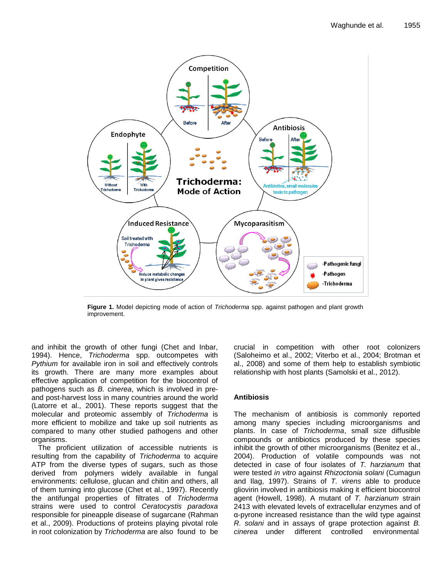

**Figure 1.** Model depicting mode of action of *Trichoderma* spp. against pathogen and plant growth improvement.

and inhibit the growth of other fungi (Chet and Inbar, 1994). Hence, *Trichoderma* spp. outcompetes with *Pythium* for available iron in soil and effectively controls its growth. There are many more examples about effective application of competition for the biocontrol of pathogens such as *B. cinerea*, which is involved in preand post-harvest loss in many countries around the world (Latorre et al., 2001). These reports suggest that the molecular and proteomic assembly of *Trichoderma* is more efficient to mobilize and take up soil nutrients as compared to many other studied pathogens and other organisms.

The proficient utilization of accessible nutrients is resulting from the capability of *Trichoderma* to acquire ATP from the diverse types of sugars, such as those derived from polymers widely available in fungal environments: cellulose, glucan and chitin and others, all of them turning into glucose (Chet et al., 1997). Recently the antifungal properties of filtrates of *Trichoderma* strains were used to control *Ceratocystis paradoxa* responsible for pineapple disease of sugarcane (Rahman et al., 2009). Productions of proteins playing pivotal role in root colonization by *Trichoderma* are also found to be

crucial in competition with other root colonizers (Saloheimo et al., 2002; Viterbo et al., 2004; Brotman et al., 2008) and some of them help to establish symbiotic relationship with host plants (Samolski et al., 2012).

# **Antibiosis**

The mechanism of antibiosis is commonly reported among many species including microorganisms and plants. In case of *Trichoderma*, small size diffusible compounds or antibiotics produced by these species inhibit the growth of other microorganisms (Benitez et al., 2004). Production of volatile compounds was not detected in case of four isolates of *T. harzianum* that were tested *in vitro* against *Rhizoctonia solani* (Cumagun and Ilag, 1997). Strains of *T. virens* able to produce gliovirin involved in antibiosis making it efficient biocontrol agent (Howell, 1998). A mutant of *T. harzianum* strain 2413 with elevated levels of extracellular enzymes and of α-pyrone increased resistance than the wild type against *R. solani* and in assays of grape protection against *B. cinerea* under different controlled environmental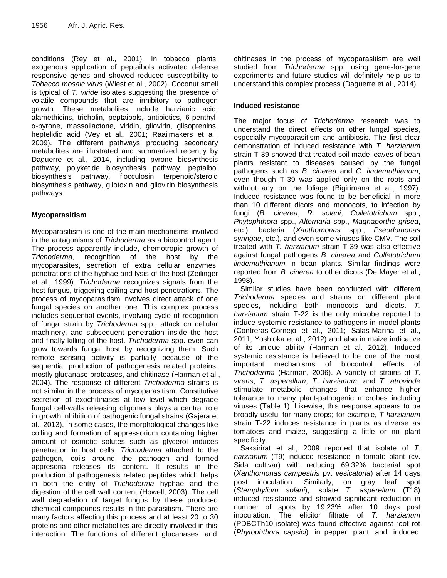conditions (Rey et al., 2001). In tobacco plants, exogenous application of peptaibols activated defense responsive genes and showed reduced susceptibility to *Tobacco mosaic virus* (Wiest et al., 2002). Coconut smell is typical of *T. viride* isolates suggesting the presence of volatile compounds that are inhibitory to pathogen growth. These metabolites include harzianic acid, alamethicins, tricholin, peptaibols, antibiotics, 6-penthylα-pyrone, massoilactone, viridin, gliovirin, glisoprenins, heptelidic acid (Vey et al., 2001; Raaijmakers et al., 2009). The different pathways producing secondary metabolites are illustrated and summarized recently by Daguerre et al., 2014, including pyrone biosynthesis pathway, polyketide biosynthesis pathway, peptaibol biosynthesis pathway, flocculosin terpenoid/steroid biosynthesis pathway, gliotoxin and gliovirin biosynthesis pathways.

# **Mycoparasitism**

Mycoparasitism is one of the main mechanisms involved in the antagonisms of *Trichoderma* as a biocontrol agent. The process apparently include, chemotropic growth of *Trichoderma*, recognition of the host by the mycoparasites, secretion of extra cellular enzymes, penetrations of the hyphae and lysis of the host (Zeilinger et al., 1999). *Trichoderma* recognizes signals from the host fungus, triggering coiling and host penetrations. The process of mycoparasitism involves direct attack of one fungal species on another one. This complex process includes sequential events, involving cycle of recognition of fungal strain by *Trichoderma* spp., attack on cellular machinery, and subsequent penetration inside the host and finally killing of the host. *Trichoderma* spp. even can grow towards fungal host by recognizing them. Such remote sensing activity is partially because of the sequential production of pathogenesis related proteins, mostly glucanase proteases, and chitinase (Harman et al., 2004). The response of different *Trichoderma* strains is not similar in the process of mycoparasitism. Constitutive secretion of exochitinases at low level which degrade fungal cell-walls releasing oligomers plays a central role in growth inhibition of pathogenic fungal strains (Gajera et al., 2013). In some cases, the morphological changes like coiling and formation of appressorium containing higher amount of osmotic solutes such as glycerol induces penetration in host cells. *Trichoderma* attached to the pathogen, coils around the pathogen and formed appresoria releases its content. It results in the production of pathogenesis related peptides which helps in both the entry of *Trichoderma* hyphae and the digestion of the cell wall content (Howell, 2003). The cell wall degradation of target fungus by these produced chemical compounds results in the parasitism. There are many factors affecting this process and at least 20 to 30 proteins and other metabolites are directly involved in this interaction. The functions of different glucanases and

chitinases in the process of mycoparasitism are well studied from *Trichoderma* spp. using gene-for-gene experiments and future studies will definitely help us to understand this complex process (Daguerre et al., 2014).

# **Induced resistance**

The major focus of *Trichoderma* research was to understand the direct effects on other fungal species, especially mycoparasitism and antibiosis. The first clear demonstration of induced resistance with *T. harzianum* strain T-39 showed that treated soil made leaves of bean plants resistant to diseases caused by the fungal pathogens such as *B. cinerea* and *C. lindemuthianum*, even though T-39 was applied only on the roots and without any on the foliage (Bigirimana et al., 1997). Induced resistance was found to be beneficial in more than 10 different dicots and monocots, to infection by fungi (*B. cinerea*, *R. solani*, *Colletotrichum* spp., *Phytophthora* spp., *Alternaria* spp., *Magnaporthe grisea*, etc.), bacteria (*Xanthomonas* spp., *Pseudomonas syringae*, etc.), and even some viruses like CMV. The soil treated with *T. harzianum* strain T-39 was also effective against fungal pathogens *B. cinerea* and *Colletotrichum lindemuthianum* in bean plants. Similar findings were reported from *B. cinerea* to other dicots (De Mayer et al., 1998).

Similar studies have been conducted with different *Trichoderma* species and strains on different plant species, including both monocots and dicots. *T. harzianum* strain T-22 is the only microbe reported to induce systemic resistance to pathogens in model plants (Contreras-Cornejo et al., 2011; Salas-Marina et al., 2011; Yoshioka et al., 2012) and also in maize indicative of its unique ability (Harman et al. 2012). Induced systemic resistance is believed to be one of the most important mechanisms of biocontrol effects of *Trichoderma* (Harman, 2006). A variety of strains of *T. virens*, *T. asperellum*, *T. harzianum*, and *T. atroviride*  stimulate metabolic changes that enhance higher tolerance to many plant-pathogenic microbes including viruses (Table 1). Likewise, this response appears to be broadly useful for many crops; for example, *T harzianum*  strain T-22 induces resistance in plants as diverse as tomatoes and maize, suggesting a little or no plant specificity.

Saksirirat et al., 2009 reported that isolate of *T. harzianum* (T9) induced resistance in tomato plant (cv. Sida cultivar) with reducing 69.32% bacterial spot (*Xanthomonas campestris* pv. *vesicatoria*) after 14 days post inoculation. Similarly, on gray leaf spot (*Stemphylium solani*), isolate *T. asperellum* (T18) induced resistance and showed significant reduction in number of spots by 19.23% after 10 days post inoculation. The elicitor filtrate of *T. harzianum* (PDBCTh10 isolate) was found effective against root rot (*Phytophthora capsici*) in pepper plant and induced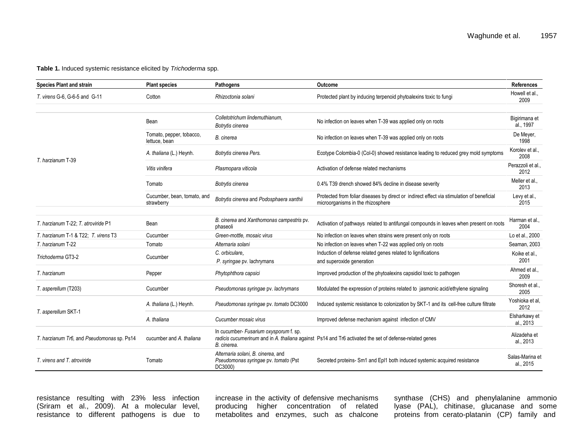#### **Table 1.** Induced systemic resistance elicited by *Trichoderma* spp.

| <b>Species Plant and strain</b>            | <b>Plant species</b>                      | Pathogens                                                                             | Outcome                                                                                                                        | References                   |
|--------------------------------------------|-------------------------------------------|---------------------------------------------------------------------------------------|--------------------------------------------------------------------------------------------------------------------------------|------------------------------|
| T. virens G-6, G-6-5 and G-11              | Cotton                                    | Rhizoctonia solani                                                                    | Protected plant by inducing terpenoid phytoalexins toxic to fungi                                                              | Howell et al.,<br>2009       |
|                                            | Bean                                      | Colletotrichum lindemuthianum.<br>Botrytis cinerea                                    | No infection on leaves when T-39 was applied only on roots                                                                     | Bigirimana et<br>al., 1997   |
|                                            | Tomato, pepper, tobacco,<br>lettuce, bean | B. cinerea                                                                            | No infection on leaves when T-39 was applied only on roots                                                                     | De Meyer,<br>1998            |
| T. harzianum T-39                          | A. thaliana (L.) Heynh.                   | Botrytis cinerea Pers.                                                                | Ecotype Colombia-0 (Col-0) showed resistance leading to reduced grey mold symptoms                                             | Korolev et al.,<br>2008      |
|                                            | Vitis vinifera                            | Plasmopara viticola                                                                   | Activation of defense related mechanisms                                                                                       | Perazzoli et al.<br>2012     |
|                                            | Tomato                                    | Botrytis cinerea                                                                      | 0.4% T39 drench showed 84% decline in disease severity                                                                         | Meller et al.,<br>2013       |
|                                            | Cucumber, bean, tomato, and<br>strawberry | Botrytis cinerea and Podosphaera xanthii                                              | Protected from foliar diseases by direct or indirect effect via stimulation of beneficial<br>microorganisms in the rhizosphere | Levy et al.,<br>2015         |
|                                            |                                           |                                                                                       |                                                                                                                                |                              |
| T. harzianum T-22; T. atroviride P1        | Bean                                      | B. cinerea and Xanthomonas campestris pv.<br>phaseoli                                 | Activation of pathways related to antifungal compounds in leaves when present on roots                                         | Harman et al<br>2004         |
| T. harzianum T-1 & T22: T. virens T3       | Cucumber                                  | Green-mottle, mosaic virus                                                            | No infection on leaves when strains were present only on roots                                                                 | Lo et al., 2000              |
| T. harzianum T-22                          | Tomato                                    | Alternaria solani                                                                     | No infection on leaves when T-22 was applied only on roots                                                                     | Seaman, 2003                 |
| Trichoderma GT3-2                          | Cucumber                                  | C. orbiculare.<br>P. syringae pv. lachrymans                                          | Induction of defense related genes related to lignifications<br>and superoxide generation                                      | Koike et al.,<br>2001        |
| T. harzianum                               | Pepper                                    | Phytophthora capsici                                                                  | Improved production of the phytoalexins capsidiol toxic to pathogen                                                            | Ahmed et al.,<br>2009        |
| T. asperellum (T203)                       | Cucumber                                  | Pseudomonas syringae pv. lachrymans                                                   | Modulated the expression of proteins related to jasmonic acid/ethylene signaling                                               | Shoresh et al<br>2005        |
|                                            | A. thaliana (L.) Heynh.                   | Pseudomonas syringae pv. tomato DC3000                                                | Induced systemic resistance to colonization by SKT-1 and its cell-free culture filtrate                                        | Yoshioka et al.<br>2012      |
| T. asperellum SKT-1                        | A. thaliana                               | Cucumber mosaic virus                                                                 | Improved defense mechanism against infection of CMV                                                                            | Elsharkawy et<br>al., 2013   |
| T. harzianum Tr6, and Pseudomonas sp. Ps14 | cucumber and A. thaliana                  | In cucumber- Fusarium oxysporum f. sp.<br>B. cinerea.                                 | radicis cucumerinum and in A. thaliana against Ps14 and Tr6 activated the set of defense-related genes                         | Alizadeha et<br>al., 2013    |
| T. virens and T. atroviride                | Tomato                                    | Alternaria solani, B. cinerea, and<br>Pseudomonas syringae pv. tomato (Pst<br>DC3000) | Secreted proteins-Sm1 and Epl1 both induced systemic acquired resistance                                                       | Salas-Marina et<br>al., 2015 |

resistance resulting with 23% less infection (Sriram et al., 2009). At a molecular level, resistance to different pathogens is due to

increase in the activity of defensive mechanisms producing higher concentration of related metabolites and enzymes, such as chalcone synthase (CHS) and phenylalanine ammonio lyase (PAL), chitinase, glucanase and some proteins from cerato-platanin (CP) family and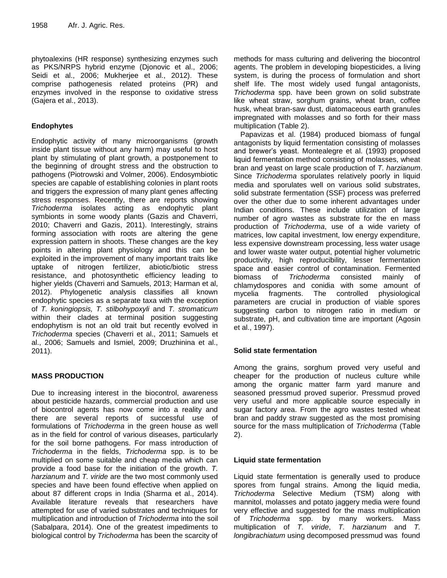phytoalexins (HR response) synthesizing enzymes such as PKS/NRPS hybrid enzyme (Djonovic et al., 2006; Seidi et al., 2006; Mukherjee et al., 2012). These comprise pathogenesis related proteins (PR) and enzymes involved in the response to oxidative stress (Gajera et al., 2013).

# **Endophytes**

Endophytic activity of many microorganisms (growth inside plant tissue without any harm) may useful to host plant by stimulating of plant growth, a postponement to the beginning of drought stress and the obstruction to pathogens (Piotrowski and Volmer, 2006). Endosymbiotic species are capable of establishing colonies in plant roots and triggers the expression of many plant genes affecting stress responses. Recently, there are reports showing *Trichoderma* isolates acting as endophytic plant symbionts in some woody plants (Gazis and Chaverri, 2010; Chaverri and Gazis, 2011). Interestingly, strains forming association with roots are altering the gene expression pattern in shoots. These changes are the key points in altering plant physiology and this can be exploited in the improvement of many important traits like uptake of nitrogen fertilizer, abiotic/biotic stress resistance, and photosynthetic efficiency leading to higher yields (Chaverri and Samuels, 2013; Harman et al, 2012). Phylogenetic analysis classifies all known endophytic species as a separate taxa with the exception of *T. koningiopsis, T. stilbohypoxyli* and *T. stromaticum* within their clades at terminal position suggesting endophytism is not an old trait but recently evolved in *Trichoderma* species (Chaverri et al., 2011; Samuels et al., 2006; Samuels and Ismiel, 2009; Druzhinina et al., 2011).

# **MASS PRODUCTION**

Due to increasing interest in the biocontrol, awareness about pesticide hazards, commercial production and use of biocontrol agents has now come into a reality and there are several reports of successful use of formulations of *Trichoderma* in the green house as well as in the field for control of various diseases, particularly for the soil borne pathogens. For mass introduction of *Trichoderma* in the fields, *Trichoderma* spp. is to be multiplied on some suitable and cheap media which can provide a food base for the initiation of the growth. *T. harzianum* and *T. viride* are the two most commonly used species and have been found effective when applied on about 87 different crops in India (Sharma et al., 2014). Available literature reveals that researchers have attempted for use of varied substrates and techniques for multiplication and introduction of *Trichoderma* into the soil (Sabalpara, 2014). One of the greatest impediments to biological control by *Trichoderma* has been the scarcity of

methods for mass culturing and delivering the biocontrol agents. The problem in developing biopesticides, a living system, is during the process of formulation and short shelf life. The most widely used fungal antagonists, *Trichoderma* spp. have been grown on solid substrate like wheat straw, sorghum grains, wheat bran, coffee husk, wheat bran-saw dust, diatomaceous earth granules impregnated with molasses and so forth for their mass multiplication (Table 2).

Papavizas et al. (1984) produced biomass of fungal antagonists by liquid fermentation consisting of molasses and brewer's yeast. Montealegre et al. (1993) proposed liquid fermentation method consisting of molasses, wheat bran and yeast on large scale production of *T. harzianum*. Since *Trichoderma* sporulates relatively poorly in liquid media and sporulates well on various solid substrates, solid substrate fermentation (SSF) process was preferred over the other due to some inherent advantages under Indian conditions. These include utilization of large number of agro wastes as substrate for the en mass production of *Trichoderma*, use of a wide variety of matrices, low capital investment, low energy expenditure, less expensive downstream processing, less water usage and lower waste water output, potential higher volumetric productivity, high reproducibility, lesser fermentation space and easier control of contamination. Fermented biomass of *Trichoderma* consisted mainly of chlamydospores and conidia with some amount of mycelia fragments. The controlled physiological parameters are crucial in production of viable spores suggesting carbon to nitrogen ratio in medium or substrate, pH, and cultivation time are important (Agosin et al., 1997).

# **Solid state fermentation**

Among the grains, sorghum proved very useful and cheaper for the production of nucleus culture while among the organic matter farm yard manure and seasoned pressmud proved superior. Pressmud proved very useful and more applicable source especially in sugar factory area. From the agro wastes tested wheat bran and paddy straw suggested as the most promising source for the mass multiplication of *Trichoderma* (Table 2).

# **Liquid state fermentation**

Liquid state fermentation is generally used to produce spores from fungal strains. Among the liquid media, *Trichoderma* Selective Medium (TSM) along with mannitol, molasses and potato jaggery media were found very effective and suggested for the mass multiplication of *Trichoderma* spp. by many workers. Mass multiplication of *T. viride*, *T. harzianum* and *T. longibrachiatum* using decomposed pressmud was found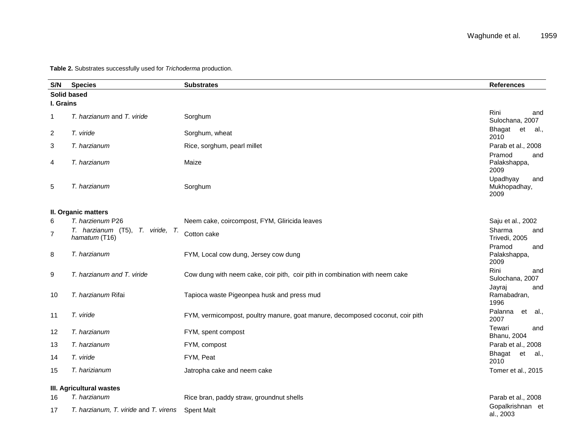#### **Table 2.** Substrates successfully used for *Trichoderma* production.

| S/N          | <b>Species</b>                                    | <b>Substrates</b>                                                             | <b>References</b>                       |
|--------------|---------------------------------------------------|-------------------------------------------------------------------------------|-----------------------------------------|
| I. Grains    | <b>Solid based</b>                                |                                                                               |                                         |
| $\mathbf{1}$ | T. harzianum and T. viride                        | Sorghum                                                                       | Rini<br>and<br>Sulochana, 2007          |
| 2            | T. viride                                         | Sorghum, wheat                                                                | Bhagat<br>et<br>al.,<br>2010            |
| 3            | T. harzianum                                      | Rice, sorghum, pearl millet                                                   | Parab et al., 2008                      |
| 4            | T. harzianum                                      | Maize                                                                         | Pramod<br>and<br>Palakshappa,<br>2009   |
| 5            | T. harzianum                                      | Sorghum                                                                       | Upadhyay<br>and<br>Mukhopadhay,<br>2009 |
|              | II. Organic matters                               |                                                                               |                                         |
| 6            | T. harzienum P26                                  | Neem cake, coircompost, FYM, Gliricida leaves                                 | Saju et al., 2002                       |
| 7            | T. harzianum (T5), T. viride, T.<br>hamatum (T16) | Cotton cake                                                                   | Sharma<br>and<br>Trivedi, 2005          |
| 8            | T. harzianum                                      | FYM, Local cow dung, Jersey cow dung                                          | Pramod<br>and<br>Palakshappa,<br>2009   |
| 9            | T. harzianum and T. viride                        | Cow dung with neem cake, coir pith, coir pith in combination with neem cake   | Rini<br>and<br>Sulochana, 2007          |
| 10           | T. harzianum Rifai                                | Tapioca waste Pigeonpea husk and press mud                                    | Jayraj<br>and<br>Ramabadran,<br>1996    |
| 11           | T. viride                                         | FYM, vermicompost, poultry manure, goat manure, decomposed coconut, coir pith | Palanna<br>et al.,<br>2007              |
| 12           | T. harzianum                                      | FYM, spent compost                                                            | Tewari<br>and<br><b>Bhanu</b> , 2004    |
| 13           | T. harzianum                                      | FYM, compost                                                                  | Parab et al., 2008                      |
| 14           | T. viride                                         | FYM, Peat                                                                     | Bhagat et<br>al.,<br>2010               |
| 15           | T. harizianum                                     | Jatropha cake and neem cake                                                   | Tomer et al., 2015                      |
|              | III. Agricultural wastes                          |                                                                               |                                         |
| 16           | T. harzianum                                      | Rice bran, paddy straw, groundnut shells                                      | Parab et al., 2008                      |
| 17           | T. harzianum, T. viride and T. virens             | <b>Spent Malt</b>                                                             | Gopalkrishnan et<br>al., 2003           |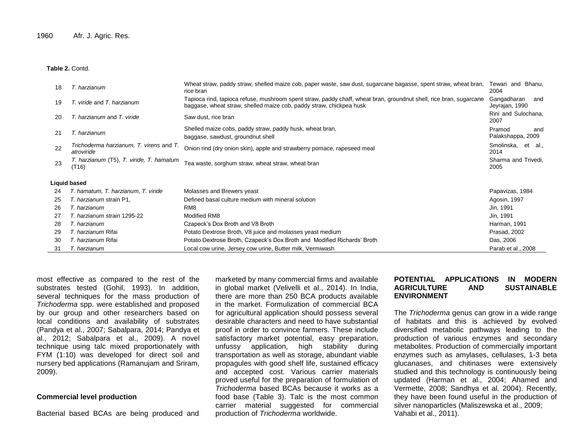#### **Table 2.** Contd.

| 18 | T. harzianum                                          | Wheat straw, paddy straw, shelled maize cob, paper waste, saw dust, sugarcane bagasse, spent straw, wheat bran,<br>rice bran                                                              | Tewari and Bhanu,<br>2004            |
|----|-------------------------------------------------------|-------------------------------------------------------------------------------------------------------------------------------------------------------------------------------------------|--------------------------------------|
| 19 | T. viride and T. harzianum                            | Tapioca rind, tapioca refuse, mushroom spent straw, paddy chaff, wheat bran, groundnut shell, rice bran, sugarcane<br>baggase, wheat straw, shelled maize cob, paddy straw, chickpea husk | Gangadharan<br>and<br>Jeyrajan, 1990 |
| 20 | T. harzianum and T. viride                            | Saw dust, rice bran                                                                                                                                                                       | Rini and Sulochana,<br>2007          |
| 21 | T. harzianum                                          | Shelled maize cobs, paddy straw, paddy husk, wheat bran,<br>baggase, sawdust, groundnut shell                                                                                             | Pramod<br>and<br>Palakshappa, 2009   |
| 22 | Trichoderma harzianum, T. virens and T.<br>atroviride | Onion rind (dry onion skin), apple and strawberry pomace, rapeseed meal                                                                                                                   | Smolinska,<br>et al.,<br>2014        |
| 23 | T. harzianum (T5), T. viride, T. hamatum<br>(T16)     | Tea waste, sorghum straw, wheat straw, wheat bran                                                                                                                                         | Sharma and Trivedi.<br>2005          |
|    | Liquid based                                          |                                                                                                                                                                                           |                                      |
| 24 | T. hamatum, T. harzianum, T. viride                   | Molasses and Brewers yeast                                                                                                                                                                | Papavizas, 1984                      |
| 25 | T. harzianum strain P1,                               | Defined basal culture medium with mineral solution                                                                                                                                        | Agosin, 1997                         |
| 26 | T. harzianum                                          | RM <sub>8</sub>                                                                                                                                                                           | Jin, 1991                            |
| 27 | T. harzianum strain 1295-22                           | Modified RM8                                                                                                                                                                              | Jin, 1991                            |
| 28 | T. harzianum                                          | Czapeck's Dox Broth and V8 Broth                                                                                                                                                          | Harman, 1991                         |
| 29 | T. harzianum Rifai                                    | Potato Dextrose Broth, V8 juice and molasses yeast medium                                                                                                                                 | Prasad, 2002                         |
| 30 | T. harzianum Rifai                                    | Potato Dextrose Broth, Czapeck's Dox Broth and Modified Richards' Broth                                                                                                                   | Das, 2006                            |
| 31 | T. harzianum                                          | Local cow urine, Jersey cow urine, Butter milk, Vermiwash                                                                                                                                 | Parab et al., 2008                   |

most effective as compared to the rest of the substrates tested (Gohil, 1993). In addition, several techniques for the mass production of *Trichoderma* spp. were established and proposed by our group and other researchers based on local conditions and availability of substrates (Pandya et al., 2007; Sabalpara, 2014; Pandya et al., 2012; Sabalpara et al., 2009). A novel technique using talc mixed proportionately with FYM (1:10) was developed for direct soil and nursery bed applications (Ramanujam and Sriram, 2009).

#### **Commercial level production**

Bacterial based BCAs are being produced and

marketed by many commercial firms and available in global market (Velivelli et al., 2014). In India, there are more than 250 BCA products available in the market. Formulization of commercial BCA for agricultural application should possess several desirable characters and need to have substantial proof in order to convince farmers. These include satisfactory market potential, easy preparation, unfussy application, high stability during transportation as well as storage, abundant viable propagules with good shelf life, sustained efficacy and accepted cost. Various carrier materials proved useful for the preparation of formulation of *Trichoderma* based BCAs because it works as a food base (Table 3). Talc is the most common carrier material suggested for commercial production of *Trichoderma* worldwide.

#### **POTENTIAL APPLICATIONS IN MODERN AGRICULTURE AND SUSTAINABLE ENVIRONMENT**

The *Trichoderma* genus can grow in a wide range of habitats and this is achieved by evolved diversified metabolic pathways leading to the production of various enzymes and secondary metabolites. Production of commercially important enzymes such as amylases, cellulases, 1-3 beta glucanases, and chitinases were extensively studied and this technology is continuously being updated (Harman et al., 2004; Ahamed and Vermette, 2008; Sandhya et al. 2004). Recently, they have been found useful in the production of silver nanoparticles (Maliszewska et al., 2009; Vahabi et al., 2011).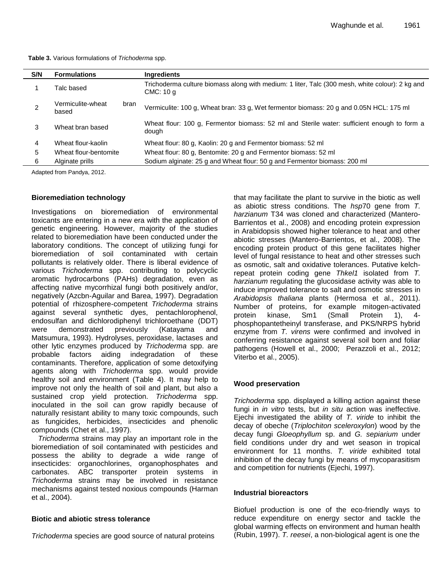|  |  |  | <b>Table 3.</b> Various formulations of Trichoderma spp. |
|--|--|--|----------------------------------------------------------|
|--|--|--|----------------------------------------------------------|

| S/N | <b>Formulations</b>                | <b>Ingredients</b>                                                                                           |
|-----|------------------------------------|--------------------------------------------------------------------------------------------------------------|
|     | Talc based                         | Trichoderma culture biomass along with medium: 1 liter, Talc (300 mesh, white colour): 2 kg and<br>CMC: 10 g |
|     | Vermiculite-wheat<br>bran<br>based | Vermiculite: 100 g, Wheat bran: 33 g, Wet fermentor biomass: 20 g and 0.05N HCL: 175 ml                      |
| 3   | Wheat bran based                   | Wheat flour: 100 g, Fermentor biomass: 52 ml and Sterile water: sufficient enough to form a<br>dough         |
| 4   | Wheat flour-kaolin                 | Wheat flour: 80 g, Kaolin: 20 g and Fermentor biomass: 52 ml                                                 |
| 5   | Wheat flour-bentomite              | Wheat flour: 80 g, Bentomite: 20 g and Fermentor biomass: 52 ml                                              |
| 6   | Alginate prills                    | Sodium alginate: 25 g and Wheat flour: 50 g and Fermentor biomass: 200 ml                                    |

Adapted from Pandya, 2012.

#### **Bioremediation technology**

Investigations on bioremediation of environmental toxicants are entering in a new era with the application of genetic engineering. However, majority of the studies related to bioremediation have been conducted under the laboratory conditions. The concept of utilizing fungi for bioremediation of soil contaminated with certain pollutants is relatively older. There is liberal evidence of various *Trichoderma* spp. contributing to polycyclic aromatic hydrocarbons (PAHs) degradation, even as affecting native mycorrhizal fungi both positively and/or, negatively (Azcbn-Aguilar and Barea, 1997). Degradation potential of rhizosphere-competent *Trichoderma* strains against several synthetic dyes, pentachlorophenol, endosulfan and dichlorodiphenyl trichloroethane (DDT) were demonstrated previously (Katayama and Matsumura, 1993). Hydrolyses, peroxidase, lactases and other lytic enzymes produced by *Trichoderma* spp. are probable factors aiding indegradation of these contaminants. Therefore, application of some detoxifying agents along with *Trichoderma* spp. would provide healthy soil and environment (Table 4). It may help to improve not only the health of soil and plant, but also a sustained crop yield protection. *Trichoderma* spp. inoculated in the soil can grow rapidly because of naturally resistant ability to many toxic compounds, such as fungicides, herbicides, insecticides and phenolic compounds (Chet et al., 1997).

*Trichoderma* strains may play an important role in the bioremediation of soil contaminated with pesticides and possess the ability to degrade a wide range of insecticides: organochlorines, organophosphates and carbonates. ABC transporter protein systems in *Trichoderma* strains may be involved in resistance mechanisms against tested noxious compounds (Harman et al., 2004).

#### **Biotic and abiotic stress tolerance**

*Trichoderma* species are good source of natural proteins

that may facilitate the plant to survive in the biotic as well as abiotic stress conditions. The *hsp*70 gene from *T. harzianum* T34 was cloned and characterized (Mantero-Barrientos et al., 2008) and encoding protein expression in Arabidopsis showed higher tolerance to heat and other abiotic stresses (Mantero-Barrientos, et al., 2008). The encoding protein product of this gene facilitates higher level of fungal resistance to heat and other stresses such as osmotic, salt and oxidative tolerances. Putative kelchrepeat protein coding gene *Thkel1* isolated from *T. harzianum* regulating the glucosidase activity was able to induce improved tolerance to salt and osmotic stresses in *Arabidopsis thaliana* plants (Hermosa et al., 2011). Number of proteins, for example mitogen-activated protein kinase, Sm1 (Small Protein 1), 4 phosphopantetheinyl transferase, and PKS/NRPS hybrid enzyme from *T. virens* were confirmed and involved in conferring resistance against several soil born and foliar pathogens (Howell et al., 2000; Perazzoli et al., 2012; Viterbo et al., 2005).

#### **Wood preservation**

*Trichoderma* spp. displayed a killing action against these fungi in *in vitro* tests, but *in situ* action was ineffective. Ejechi investigated the ability of *T. viride* to inhibit the decay of obeche (*Triplochiton sceleroxylon*) wood by the decay fungi *Gloeophyllum* sp. and *G. sepiarium* under field conditions under dry and wet season in tropical environment for 11 months. *T. viride* exhibited total inhibition of the decay fungi by means of mycoparasitism and competition for nutrients (Ejechi, 1997).

#### **Industrial bioreactors**

Biofuel production is one of the eco-friendly ways to reduce expenditure on energy sector and tackle the global warming effects on environment and human health (Rubin, 1997). *T. reesei*, a non-biological agent is one the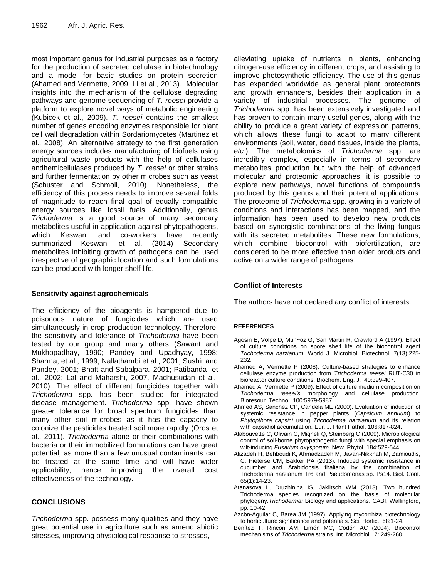most important genus for industrial purposes as a factory for the production of secreted cellulase in biotechnology and a model for basic studies on protein secretion (Ahamed and Vermette, 2009; Li et al., 2013). Molecular insights into the mechanism of the cellulose degrading pathways and genome sequencing of *T. reesei* provide a platform to explore novel ways of metabolic engineering (Kubicek et al., 2009). *T. reesei* contains the smallest number of genes encoding enzymes responsible for plant cell wall degradation within Sordariomycetes (Martinez et al., 2008). An alternative strategy to the first generation energy sources includes manufacturing of biofuels using agricultural waste products with the help of cellulases andhemicellulases produced by *T. reesei* or other strains and further fermentation by other microbes such as yeast (Schuster and Schmoll, 2010). Nonetheless, the efficiency of this process needs to improve several folds of magnitude to reach final goal of equally compatible energy sources like fossil fuels. Additionally, genus *Trichoderma* is a good source of many secondary metabolites useful in application against phytopathogens, which Keswani and co-workers have recently summarized Keswani et al. (2014) Secondary metabolites inhibiting growth of pathogens can be used irrespective of geographic location and such formulations can be produced with longer shelf life.

# **Sensitivity against agrochemicals**

The efficiency of the bioagents is hampered due to poisonous nature of fungicides which are used simultaneously in crop production technology. Therefore, the sensitivity and tolerance of *Trichoderma* have been tested by our group and many others (Sawant and Mukhopadhay, 1990; Pandey and Upadhyay, 1998; Sharma, et al., 1999; Nallathambi et al., 2001; Sushir and Pandey, 2001; Bhatt and Sabalpara, 2001; Patibanda et al., 2002; Lal and Maharshi, 2007, Madhusudan et al., 2010). The effect of different fungicides together with *Trichoderma* spp. has been studied for integrated disease management. *Trichoderma* spp. have shown greater tolerance for broad spectrum fungicides than many other soil microbes as it has the capacity to colonize the pesticides treated soil more rapidly (Oros et al., 2011). *Trichoderma* alone or their combinations with bacteria or their immobilized formulations can have great potential, as more than a few unusual contaminants can be treated at the same time and will have wider applicability, hence improving the overall cost effectiveness of the technology.

# **CONCLUSIONS**

*Trichoderma* spp. possess many qualities and they have great potential use in agriculture such as amend abiotic stresses, improving physiological response to stresses,

alleviating uptake of nutrients in plants, enhancing nitrogen-use efficiency in different crops, and assisting to improve photosynthetic efficiency. The use of this genus has expanded worldwide as general plant protectants and growth enhancers, besides their application in a variety of industrial processes. The genome of *Trichoderma* spp. has been extensively investigated and has proven to contain many useful genes, along with the ability to produce a great variety of expression patterns, which allows these fungi to adapt to many different environments (soil, water, dead tissues, inside the plants, *etc*.). The metabolomics of *Trichoderma* spp. are incredibly complex, especially in terms of secondary metabolites production but with the help of advanced molecular and proteomic approaches, it is possible to explore new pathways, novel functions of compounds produced by this genus and their potential applications. The proteome of *Trichoderma* spp. growing in a variety of conditions and interactions has been mapped, and the information has been used to develop new products based on synergistic combinations of the living fungus with its secreted metabolites. These new formulations, which combine biocontrol with biofertilization, are considered to be more effective than older products and active on a wider range of pathogens.

# **Conflict of Interests**

The authors have not declared any conflict of interests.

#### **REFERENCES**

- Agosin E, Volpe D, Mun~oz G, San Martin R, Crawford A (1997). Effect of culture conditions on spore shelf life of the biocontrol agent *Trichoderma harzianum*. World J. Microbiol. Biotechnol. 7(13):225- 232.
- Ahamed A, Vermette P (2008). Culture-based strategies to enhance cellulase enzyme production from *Trichoderma reesei* RUT-C30 in bioreactor culture conditions. Biochem. Eng. J. 40:399-407.
- Ahamed A, Vermette P (2009). Effect of culture medium composition on *Trichoderma reesei's* morphology and cellulase production. Bioresour. Technol. 100:5979-5987.
- Ahmed AS, Sanchez CP, Candela ME (2000). Evaluation of induction of systemic resistance in pepper plants (*Capsicum annuum*) to *Phytopthora capsici* using *Trichoderma harzianum* and its relation with capsidiol accumulation. Eur. J. Plant Pathol. 106:817-824.
- Alabouvette C, Olivain C, Migheli Q, Steinberg C (2009). Microbiological control of soil-borne phytopathogenic fungi with special emphasis on wilt-inducing *Fusarium oxysporum*. New. Phytol. 184:529-544.
- Alizadeh H, Behboudi K, Ahmadzadeh M, Javan-Nikkhah M, Zamioudis, C. Pieterse CM, Bakker PA (2013). Induced systemic resistance in cucumber and Arabidopsis thaliana by the combination of Trichoderma harzianum Tr6 and Pseudomonas sp. Ps14. Biol. Cont. 65(1):14-23.
- Atanasova L, Druzhinina IS, Jaklitsch WM (2013). Two hundred Trichoderma species recognized on the basis of molecular phylogeny.*Trichoderma:* Biology and applications. CABI, Wallingford, pp. 10-42.
- Azcbn-Aguilar C, Barea JM (1997). Applying mycorrhiza biotechnology to horticulture: significance and potentials. Sci. Hortic. 68:1-24.
- Benítez T, Rincón AM, Limón MC, Codón AC (2004). Biocontrol mechanisms of *Trichoderma* strains. Int. Microbiol. 7: 249-260.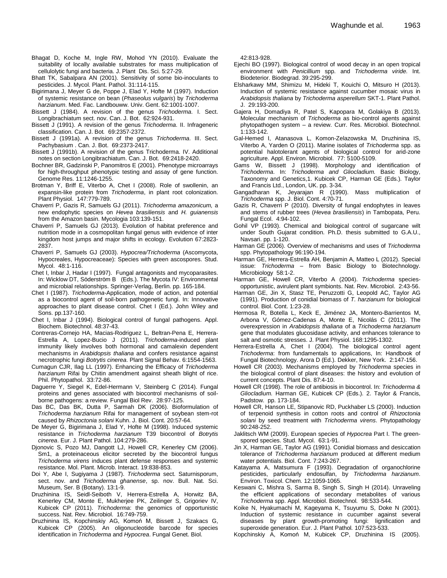- Bhagat D, Koche M, Ingle RW, Mohod YN (2010). Evaluate the suitability of locally available substrates for mass multiplication of cellulolytic fungi and bacteria. J. Plant Dis. Sci. 5:27-29.
- Bhatt TK, Sabalpara AN (2001). Sensitivity of some bio-inoculants to pesticides. J. Mycol. Plant. Pathol. 31:114-115.
- Bigirimana J, Meyer G de, Poppe J, Elad Y, Hofte M (1997). Induction of systemic resistance on bean (*Phaseolus vulgaris*) by *Trichoderma harzianum*. Med. Fac. Landbouww. Univ. Gent. 62:1001-1007.
- Bissett J (1984). A revision of the genus *Trichoderma*. I. Sect. Longibrachiatum sect. nov. Can. J. Bot. 62:924-931.
- Bissett J (1991). A revision of the genus *Trichoderma*. II. Infrageneric classification. Can. J. Bot*.* 69:2357-2372.
- Bissett J (1991a). A revision of the genus *Trichoderma*. III. Sect. Pachybasium . Can. J. Bot. 69:2373-2417.
- Bissett J (1991b). A revision of the genus Trichoderma. IV. Additional notes on section Longibrachiatum. Can. J. Bot. 69:2418-2420.
- Bochner BR, Gadzinski P, Panomitros E (2001). Phenotype microarrays for high-throughput phenotypic testing and assay of gene function. Genome Res. 11:1246-1255.
- Brotman Y, Briff E, Viterbo A, Chet I (2008). Role of swollenin, an expansin-like protein from *Trichoderma*, in plant root colonization. Plant Physiol. 147:779-789.
- Chaverri P, Gazis R, Samuels GJ (2011). *Trichoderma amazonicum,* a new endophytic species on *Hevea brasiliensis* and *H. guianensis* from the Amazon basin. Mycologia 103:139-151.
- Chaverri P, Samuels GJ (2013). Evolution of habitat preference and nutrition mode in a cosmopolitan fungal genus with evidence of inter kingdom host jumps and major shifts in ecology. Evolution 67:2823- 2837.
- Chaverri P, Samuels GJ (2003). *Hypocrea/Trichoderma* (Ascomycota, Hypocreales, Hypocreaceae): Species with green ascospores. Stud. Mycol. 48:1-116.
- Chet I, Inbar J, Hadar I (1997). Fungal antagonists and mycoparasites. In: Wicklow DT, Söderström B (Eds.). The Mycota IV: Environmental and microbial relationships. Springer-Verlag, Berlin. pp. 165-184.
- Chet I (1987). *Trichoderma*-Application, mode of action, and potential as a biocontrol agent of soil-born pathogenetic fungi. In: Innovative approaches to plant disease control. Chet I (Ed.). John Wiley and Sons. pp.137-160.
- Chet I, Inbar J (1994). Biological control of fungal pathogens. Appl. Biochem. Biotechnol. 48:37-43.
- Contreras-Cornejo HA, Macias-Rodriguez L, Beltran-Pena E, Herrera-Estrella A, Lopez-Bucio J (2011). *Trichoderma*-induced plant immunity likely involves both hormonal and camalexin dependent mechanisms in *Arabidopsis thaliana* and confers resistance against necrotrophic fungi *Botrytis cinerea*. Plant Signal Behav. 6:1554-1563.
- Cumagun CJR, Ilag LL (1997). Enhancing the Efficacy of *Trichoderma harzianum* Rifai by Chitin amendment against sheath blight of rice. Phil. Phytopathol. 33:72-86.
- Daguerre Y, Siegel K, Edel-Hermann V, Steinberg C (2014). Fungal proteins and genes associated with biocontrol mechanisms of soilborne pathogens: a review. Fungal Biol Rev. 28:97-125.
- Das BC, Das BK, Dutta P, Sarmah DK (2006). Bioformulation of *Trichoderma harzianum* Rifai for management of soybean stem-rot caused by *Rhizoctonia solani* Kuhn. J. Biol. Cont. 20:57-64.
- De Meyer G, Bigirimana J, Elad Y, Hofte M (1998). Induced systemic resistance in *Trichoderma harzianum* T39 biocontrol of *Botrytis cinerea*. Eur. J. Plant Pathol. 104:279-286.
- Djonovic S, Pozo MJ, Dangott LJ, Howell CR, Kenerley CM (2006). Sm1, a proteinaceous elicitor secreted by the biocontrol fungus *Trichoderma virens* induces plant defense responses and systemic resistance. Mol. Plant. Microb. Interact. 19:838-853.
- Doi Y, Abe I, Sugiyama J (1987). *Trichoderma* sect. Saturnisporum, sect. nov. and *Trichoderma ghanense*, sp. nov. Bull. Nat. Sci. Museum, Ser. B (Botany). 13:1-9.
- Druzhinina IS, Seidl-Seiboth V, Herrera-Estrella A, Horwitz BA, Kenerley CM, Monte E, Mukherjee PK, Zeilinger S, Grigoriev IV, Kubicek CP (2011). *Trichoderma*: the genomics of opportunistic success. Nat. Rev. Microbiol. 16:749-759.
- Druzhinina IS, Kopchinskiy AG, Komoń M, Bissett J, Szakacs G, Kubicek CP (2005). An oligonucleotide barcode for species identification in *Trichoderma* and *Hypocrea*. Fungal Genet. Biol.

42:813-928.

- Ejechi BO (1997). Biological control of wood decay in an open tropical environment with *Penicillium* spp. and *Trichoderma viride.* Int. Biodeterior. Biodegrad. 39:295-299.
- Elsharkawy MM, Shimizu M, Hideki T, Kouichi O, Mitsuro H (2013). Induction of systemic resistance against cucumber mosaic virus in *Arabidopsis thaliana* by *Trichoderma asperellum* SKT-1. Plant Pathol. J. 29:193-200.
- Gajera H, Domadiya R, Patel S, Kapopara M, Golakiya B (2013). Molecular mechanism of *Trichoderma* as bio-control agents against phytopathogen system – a review. Curr. Res. Microbiol. Biotechnol. 1:133-142.
- Gal-Hemed I, Atanasova L, Komon-Zelazowska M, Druzhinina IS, Viterbo A, Yarden O (2011). Marine isolates of *Trichoderma* spp. as potential halotolerant agents of biological control for arid-zone agriculture. Appl. Environ. Microbiol. 77: 5100-5109.
- Gams W, Bissett J (1998). Morphology and identification of *Trichoderma*. In: *Trichoderma and Gliocladium.* Basic Biology, Taxonomy and Genetics,1. Kubicek CP, Harman GE (Eds.). Taylor and Francis Ltd., London, UK. pp. 3-34.
- Gangadharan K, Jeyarajan R (1990). Mass multiplication of *Trichoderma* spp. J. Biol. Cont. 4:70-71.
- Gazis R, Chaverri P (2010). Diversity of fungal endophytes in leaves and stems of rubber trees (*Hevea brasiliensis*) in Tambopata, Peru. Fungal Ecol. 4:94-102.
- Gohil VP (1993). Chemical and biological control of sugarcane wilt under South Gujarat condition. Ph.D. thesis submitted to G.A.U., Navsari. pp. 1-120.
- Harman GE (2006). Overview of mechanisms and uses of *Trichoderma* spp. Phytopathology 96:190-194.
- Harman GE, Herrera-Estrella AH, Benjamin A, Matteo L (2012). Special issue: *Trichoderma* – from Basic Biology to Biotechnology. Microbiology 58*:*1-2.
- Harman GE, Howell CR, Viterbo A (2004). *Trichoderma* speciesopportunistic, avirulent plant symbionts. Nat. Rev. Microbiol. 2:43-56.
- Harman GE, Jin X, Stasz TE, Peruzzotti G, Leopold AC, Taylor AG (1991). Production of conidial biomass of *T. harzianum* for biological control. Biol. Cont. 1:23-28.
- Hermosa R, Botella L, Keck E, Jiménez JA, Montero-Barrientos M, Arbona V, Gómez-Cadenas A, Monte E, Nicolás C (2011). The overexpression in *Arabidopsis thaliana* of a *Trichoderma harzianum* gene that modulates glucosidase activity, and enhances tolerance to salt and osmotic stresses. J. Plant Physiol. 168:1295-1302.
- Herrera-Estrella A, Chet I (2004). The biological control agent *Trichoderma*: from fundamentals to applications, In: Handbook of Fungal Biotechnology. Arora D (Ed.). Dekker, New York. 2:147-156.
- Howell CR (2003). Mechanisms employed by *Trichoderma* species in the biological control of plant diseases: the history and evolution of current concepts. Plant Dis. 87:4-10.
- Howell CR (1998). The role of antibiosis in biocontrol. In: *Trichoderma & Gliocladium.* Harman GE, Kubicek CP (Eds.). 2. Taylor & Francis, Padstow. pp. 173-184.
- Howell CR, Hanson LE, Stipanovic RD, Puckhaber LS (2000). Induction of terpenoid synthesis in cotton roots and control of *Rhizoctonia solani* by seed treatment with *Trichoderma virens*. Phytopathology 90:248-252.
- Jaklitsch WM (2009). European species of *Hypocrea* Part I. The greenspored species. Stud. Mycol. 63:1-91.
- Jin X, Harman GE, Taylor AG (1991). Conidial biomass and desiccation tolerance of *Trichoderma harzianum* produced at different medium water potentials. Biol. Cont. 7:243-267.
- Katayama A, Matsumura F (1993). Degradation of organochlorine pesticides, particularly endosulfan, by *Trichoderma harzianum*. Environ. Toxicol. Chem*.* 12:1059-1065.
- Keswani C, Mishra S, Sarma B, Singh S, Singh H (2014). Unraveling the efficient applications of secondary metabolites of various *Trichoderma* spp. Appl. Microbiol. Biotechnol*.* 98:533-544.
- Koike N, Hyakumachi M, Kageyama K, Tsuyumu S, Doke N (2001). Induction of systemic resistance in cucumber against several diseases by plant growth-promoting fungi: lignification and superoxide generation. Eur. J. Plant Pathol*.* 107:523-533.

Kopchinskiy A, Komoń M, Kubicek CP, Druzhinina IS (2005).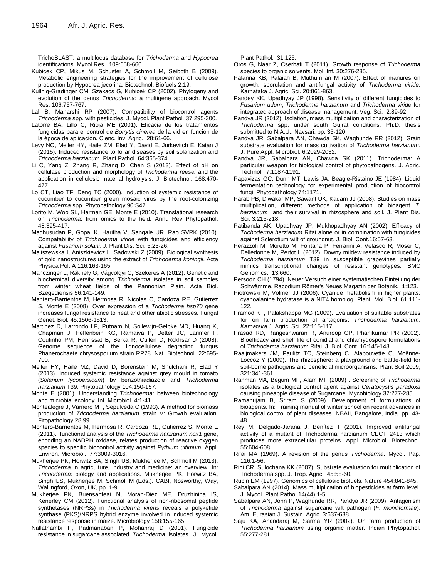TrichoBLAST: a multilocus database for *Trichoderma* and *Hypocrea* identifications. Mycol Res*.* 109:658-660.

- Kubicek CP, Mikus M, Schuster A, Schmoll M, Seiboth B (2009). Metabolic engineering strategies for the improvement of cellulose production by Hypocrea jecorina. Biotechnol. Biofuels 2:19.
- Kullnig-Gradinger CM, Szakacs G, Kubicek CP (2002). Phylogeny and evolution of the genus *Trichoderma*: a multigene approach. Mycol Res. 106:757-767.
- Lal B, Maharshi RP (2007). Compatibility of biocontrol agents *Trichoderma* spp. with pesticides. J. Mycol. Plant Pathol*.* 37:295-300.
- Latorre BA, Lillo C, Rioja ME (2001). Eficacia de los tratamientos fungicidas para el control de *Botrytis cinerea* de la vid en función de la época de aplicación. Cienc. Inv. Agric. 28:61-66.
- Levy NO, Meller HY, Haile ZM, Elad Y, David E, Jurkevitch E, Katan J (2015). Induced resistance to foliar diseases by soil solarization and *Trichoderma harzianum*. Plant Pathol. 64:365-374.
- Li C, Yang Z, Zhang R, Zhang D, Chen S (2013). Effect of pH on cellulase production and morphology of *Trichoderma reesei* and the application in cellulosic material hydrolysis. J. Biotechnol. 168:470- 477.
- Lo CT, Liao TF, Deng TC (2000). Induction of systemic resistance of cucumber to cucumber green mosaic virus by the root-colonizing *Trichoderma* spp. Phytopathology 90:S47.
- Lorito M, Woo SL, Harman GE, Monte E (2010). Translational research on *Trichoderma*: from omics to the field. Annu Rev Phytopathol. 48:395-417.
- Madhusudan P, Gopal K, Haritha V, Sangale UR, Rao SVRK (2010). Compatability of *Trichoderma viride* with fungicides and efficiency against *Fusarium solani*. J. Plant Dis. Sci. 5:23-26.
- Maliszewska I, Aniszkiewicz L, Sadowski Z (2009). Biological synthesis of gold nanostructures using the extract of *Trichoderma koningii*. Acta Physica Pol. A 116:163-165.
- Manczinger L, Rákhely G, Vágvölgyi C, Szekeres A (2012). Genetic and biochemical diversity among *Trichoderma* isolates in soil samples from winter wheat fields of the Pannonian Plain. Acta Biol. Szegediensis 56:141-149.
- Mantero-Barrientos M, Hermosa R, Nicolas C, Cardoza RE, Gutierrez S, Monte E (2008). Over expression of a *Trichoderma hsp70* gene increases fungal resistance to heat and other abiotic stresses. Fungal Genet. Biol. 45:1506-1513.
- Martinez D, Larrondo LF, Putnam N, Sollewijn-Gelpke MD, Huang K, Chapman J, Helfenbein KG, Ramaiya P, Detter JC, Larimer F, Coutinho PM, Henrissat B, Berka R, Cullen D, Rokhsar D (2008). Genome sequence of the lignocellulose degrading fungus Phanerochaete chrysosporium strain RP78. Nat. Biotechnol. 22:695- 700.
- Meller HY, Haile MZ, David D, Borenstein M, Shulchani R, Elad Y (2013). Induced systemic resistance against grey mould in tomato (*Solanum lycopersicum*) by benzothiadiazole and *Trichoderma harzianum* T39. Phytopathology 104:150-157.
- Monte E (2001). Understanding *Trichoderma*: between biotechnology and microbial ecology. Int. Microbiol. 4:1-41.
- Montealegre J, Varnero MT, Sepulveda C (1993). A method for biomass production of *Trichoderma harzianum* strain V: Growth evaluation. Fitopathology 28:99.
- Montero-Barrientos M, Hermosa R, Cardoza RE, Gutiérrez S, Monte E (2011). functional analysis of the *Trichoderma harzianum nox1* gene, encoding an NADPH oxidase, relates production of reactive oxygen species to specific biocontrol activity against *Pythium ultimum*. Appl. Environ. Microbiol. 77:3009-3016.
- Mukherjee PK, Horwitz BA, Singh US, Mukherjee M, Schmoll M (2013). *Trichoderma* in agriculture, industry and medicine: an overview. In: *Trichoderma:* biology and applications*.* Mukherjee PK, Horwitz BA, Singh US, Mukherjee M, Schmoll M (Eds.). CABI, Nosworthy, Way, Wallingford, Oxon, UK, pp. 1-9.
- Mukherjee PK, Buensanteai N, Moran-Diez ME, Druzhinina IS, Kenerley CM (2012). Functional analysis of non-ribosomal peptide synthetases (NRPSs) in *Trichoderma virens* reveals a polyketide synthase (PKS)/NRPS hybrid enzyme involved in induced systemic resistance response in maize. Microbiology 158:155-165.
- Nallathambi P, Padmanaban P, Mohanraj D (2001). Fungicide resistance in sugarcane associated *Trichoderma* isolates. J. Mycol.

Plant Pathol. 31:125.

- Oros G, Naar Z, Cserhati T (2011). Growth response of *Trichoderma* species to organic solvents. Mol. Inf*.* 30:276-285.
- Palanna KB, Palaiah B, Muthumilan M (2007). Effect of manures on growth, sporulation and antifungal activity of *Trichoderma viride*. Karnataka J. Agric. Sci. 20:861-863.
- Pandey KK, Upadhyay JP (1998). Sensitivity of different fungicides to *Fusarium udum*, *Trichoderma harzianum* and *Trichoderma viride* for integrated approach of disease management. Veg. Sci. 2:89-92.
- Pandya JR (2012). Isolation, mass multiplication and characterization of *Trichoderma* spp. under south Gujrat conditions. Ph.D. thesis submitted to N.A.U., Navsari. pp. 35-120.
- Pandya JR, Sabalpara AN, Chawda SK, Waghunde RR (2012). Grain substrate evaluation for mass cultivation of *Trichoderma harzianum*. J. Pure Appl. Microbiol. 6:2029-2032.
- Pandya JR, Sabalpara AN, Chawda SK (2011). Trichoderma: A particular weapon for biological control of phytopathogens. J. Agric. Technol. 7:1187-1191.
- Papavizas GC, Dunn MT, Lewis JA, Beagle-Ristaino JE (1984). Liquid fermentation technology for experimental production of biocontrol fungi. Phytopathology 74:1171.
- Parab PB, Diwakar MP, Sawant UK, Kadam JJ (2008). Studies on mass multiplication, different methods of application of bioagent *T. harzianum* and their survival in rhizosphere and soil. J. Plant Dis. Sci. 3:215-218.
- Patibanda AK, Upadhyay JP, Mukhopadhyay AN (2002). Efficacy of *Trichoderma harzianum* Rifai alone or in combination with fungicides against Sclerotium wilt of groundnut. J. Biol. Cont.16:57-63.
- Perazzoli M, Moretto M, Fontana P, Ferrarini A, Velasco R, Moser C, Delledonne M, Pertot I (2012). Downy mildew resistance induced by *Trichoderma harzianum* T39 in susceptible grapevines partially mimics transcriptional changes of resistant genotypes. BMC Genomics. 13:660.
- Persoon CH (1794). Neuer Versuch einer systematischen Einteilung der Schwämme. Racodium Römer's Neues Magazin der Botanik. 1:123.
- Piotrowski M, Volmer JJ (2006). Cyanide metabolism in higher plants: cyanoalanine hydratase is a NIT4 homolog. Plant. Mol. Biol. 61:111- 122.
- Pramod KT, Palakshappa MG (2009). Evaluation of suitable substrates for on farm production of antagonist *Trichoderma harzianum. Karnataka* J. Agric. Sci. 22:115-117.
- Prasad RD, Rangeshwaran R, Anuroop CP, Phanikumar PR (2002). Bioefficacy and shelf life of conidial and chlamydospore formulations of *Trichoderma harzianum* Rifai. J. Biol. Cont. 16:145-148.
- Raaijmakers JM, Paulitz TC, Steinberg C, Alabouvette C, Moënne-Loccoz Y (2009). The rhizosphere: a playground and battle-field for soil-borne pathogens and beneficial microorganisms. Plant Soil 2009, 321:341-361.
- Rahman MA, Begum MF, Alam MF (2009) . Screening of *Trichoderma* isolates as a biological control agent against *Ceratocystis paradoxa* causing pineapple disease of Sugarcane. Mycobiology 37:277-285.
- Ramanujam B, Sriram S (2009). Development of formulations of bioagents. In: Training manual of winter school on recent advances in biological control of plant diseases. NBAII, Bangalore, India. pp. 43- 48.
- Rey M, Delgado-Jarana J, Benítez T (2001). Improved antifungal activity of a mutant of Trichoderma harzianum CECT 2413 which produces more extracellular proteins. Appl. Microbiol. Biotechnol. 55:604-608.
- Rifai MA (1969). A revision of the genus *Trichoderma*. Mycol. Pap. 116:1-56.
- Rini CR, Sulochana KK (2007). Substrate evaluation for multiplication of Trichoderma spp. J. Trop. Agric. 45:58-60.
- Rubin EM (1997). Genomics of cellulosic biofuels. Nature 454:841-845. Sabalpara AN (2014). Mass multiplication of biopesticides at farm level.
- J. Mycol. Plant Pathol.14(44):1-5. Sabalpara AN, John P, Waghunde RR, Pandya JR (2009). Antagonism of *Trichoderma* against sugarcane wilt pathogen (*F. moniliformae*).
- Am. Eurasian J. Sustain. Agric. 3:637-638. Saju KA, Anandaraj M, Sarma YR (2002). On farm production of *Trichoderma harzianum* using organic matter*.* Indian Phytopathol.

55:277-281.